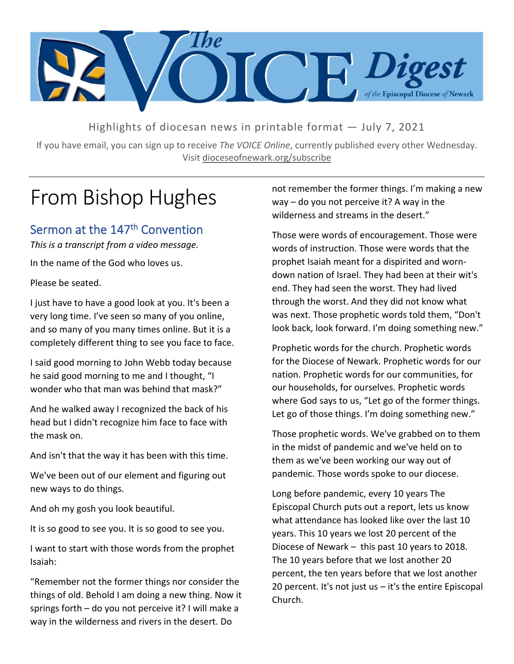

Highlights of diocesan news in printable format — July 7, 2021

If you have email, you can sign up to receive *The VOICE Online*, currently published every other Wednesday. Visit dioceseofnewark.org/subscribe

# From Bishop Hughes

# Sermon at the 147<sup>th</sup> Convention

*This is a transcript from a video message.* In the name of the God who loves us.

Please be seated.

I just have to have a good look at you. It's been a very long time. I've seen so many of you online, and so many of you many times online. But it is a completely different thing to see you face to face.

I said good morning to John Webb today because he said good morning to me and I thought, "I wonder who that man was behind that mask?"

And he walked away I recognized the back of his head but I didn't recognize him face to face with the mask on.

And isn't that the way it has been with this time.

We've been out of our element and figuring out new ways to do things.

And oh my gosh you look beautiful.

It is so good to see you. It is so good to see you.

I want to start with those words from the prophet Isaiah:

"Remember not the former things nor consider the things of old. Behold I am doing a new thing. Now it springs forth – do you not perceive it? I will make a way in the wilderness and rivers in the desert. Do

not remember the former things. I'm making a new way – do you not perceive it? A way in the wilderness and streams in the desert."

Those were words of encouragement. Those were words of instruction. Those were words that the prophet Isaiah meant for a dispirited and worndown nation of Israel. They had been at their wit's end. They had seen the worst. They had lived through the worst. And they did not know what was next. Those prophetic words told them, "Don't look back, look forward. I'm doing something new."

Prophetic words for the church. Prophetic words for the Diocese of Newark. Prophetic words for our nation. Prophetic words for our communities, for our households, for ourselves. Prophetic words where God says to us, "Let go of the former things. Let go of those things. I'm doing something new."

Those prophetic words. We've grabbed on to them in the midst of pandemic and we've held on to them as we've been working our way out of pandemic. Those words spoke to our diocese.

Long before pandemic, every 10 years The Episcopal Church puts out a report, lets us know what attendance has looked like over the last 10 years. This 10 years we lost 20 percent of the Diocese of Newark – this past 10 years to 2018. The 10 years before that we lost another 20 percent, the ten years before that we lost another 20 percent. It's not just us  $-$  it's the entire Episcopal Church.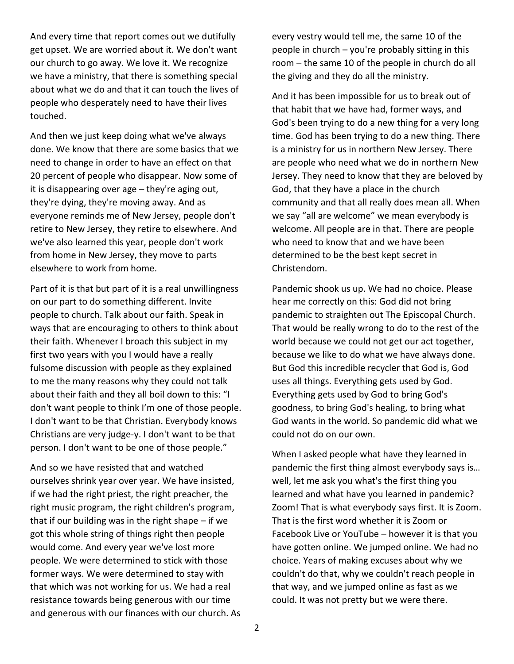And every time that report comes out we dutifully get upset. We are worried about it. We don't want our church to go away. We love it. We recognize we have a ministry, that there is something special about what we do and that it can touch the lives of people who desperately need to have their lives touched.

And then we just keep doing what we've always done. We know that there are some basics that we need to change in order to have an effect on that 20 percent of people who disappear. Now some of it is disappearing over age – they're aging out, they're dying, they're moving away. And as everyone reminds me of New Jersey, people don't retire to New Jersey, they retire to elsewhere. And we've also learned this year, people don't work from home in New Jersey, they move to parts elsewhere to work from home.

Part of it is that but part of it is a real unwillingness on our part to do something different. Invite people to church. Talk about our faith. Speak in ways that are encouraging to others to think about their faith. Whenever I broach this subject in my first two years with you I would have a really fulsome discussion with people as they explained to me the many reasons why they could not talk about their faith and they all boil down to this: "I don't want people to think I'm one of those people. I don't want to be that Christian. Everybody knows Christians are very judge-y. I don't want to be that person. I don't want to be one of those people."

And so we have resisted that and watched ourselves shrink year over year. We have insisted, if we had the right priest, the right preacher, the right music program, the right children's program, that if our building was in the right shape – if we got this whole string of things right then people would come. And every year we've lost more people. We were determined to stick with those former ways. We were determined to stay with that which was not working for us. We had a real resistance towards being generous with our time and generous with our finances with our church. As every vestry would tell me, the same 10 of the people in church – you're probably sitting in this room – the same 10 of the people in church do all the giving and they do all the ministry.

And it has been impossible for us to break out of that habit that we have had, former ways, and God's been trying to do a new thing for a very long time. God has been trying to do a new thing. There is a ministry for us in northern New Jersey. There are people who need what we do in northern New Jersey. They need to know that they are beloved by God, that they have a place in the church community and that all really does mean all. When we say "all are welcome" we mean everybody is welcome. All people are in that. There are people who need to know that and we have been determined to be the best kept secret in Christendom.

Pandemic shook us up. We had no choice. Please hear me correctly on this: God did not bring pandemic to straighten out The Episcopal Church. That would be really wrong to do to the rest of the world because we could not get our act together, because we like to do what we have always done. But God this incredible recycler that God is, God uses all things. Everything gets used by God. Everything gets used by God to bring God's goodness, to bring God's healing, to bring what God wants in the world. So pandemic did what we could not do on our own.

When I asked people what have they learned in pandemic the first thing almost everybody says is… well, let me ask you what's the first thing you learned and what have you learned in pandemic? Zoom! That is what everybody says first. It is Zoom. That is the first word whether it is Zoom or Facebook Live or YouTube – however it is that you have gotten online. We jumped online. We had no choice. Years of making excuses about why we couldn't do that, why we couldn't reach people in that way, and we jumped online as fast as we could. It was not pretty but we were there.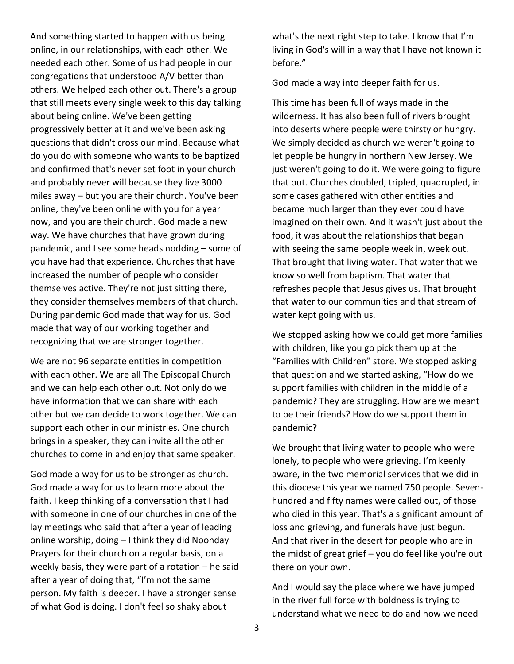And something started to happen with us being online, in our relationships, with each other. We needed each other. Some of us had people in our congregations that understood A/V better than others. We helped each other out. There's a group that still meets every single week to this day talking about being online. We've been getting progressively better at it and we've been asking questions that didn't cross our mind. Because what do you do with someone who wants to be baptized and confirmed that's never set foot in your church and probably never will because they live 3000 miles away – but you are their church. You've been online, they've been online with you for a year now, and you are their church. God made a new way. We have churches that have grown during pandemic, and I see some heads nodding – some of you have had that experience. Churches that have increased the number of people who consider themselves active. They're not just sitting there, they consider themselves members of that church. During pandemic God made that way for us. God made that way of our working together and recognizing that we are stronger together.

We are not 96 separate entities in competition with each other. We are all The Episcopal Church and we can help each other out. Not only do we have information that we can share with each other but we can decide to work together. We can support each other in our ministries. One church brings in a speaker, they can invite all the other churches to come in and enjoy that same speaker.

God made a way for us to be stronger as church. God made a way for us to learn more about the faith. I keep thinking of a conversation that I had with someone in one of our churches in one of the lay meetings who said that after a year of leading online worship, doing – I think they did Noonday Prayers for their church on a regular basis, on a weekly basis, they were part of a rotation – he said after a year of doing that, "I'm not the same person. My faith is deeper. I have a stronger sense of what God is doing. I don't feel so shaky about

what's the next right step to take. I know that I'm living in God's will in a way that I have not known it before."

God made a way into deeper faith for us.

This time has been full of ways made in the wilderness. It has also been full of rivers brought into deserts where people were thirsty or hungry. We simply decided as church we weren't going to let people be hungry in northern New Jersey. We just weren't going to do it. We were going to figure that out. Churches doubled, tripled, quadrupled, in some cases gathered with other entities and became much larger than they ever could have imagined on their own. And it wasn't just about the food, it was about the relationships that began with seeing the same people week in, week out. That brought that living water. That water that we know so well from baptism. That water that refreshes people that Jesus gives us. That brought that water to our communities and that stream of water kept going with us.

We stopped asking how we could get more families with children, like you go pick them up at the "Families with Children" store. We stopped asking that question and we started asking, "How do we support families with children in the middle of a pandemic? They are struggling. How are we meant to be their friends? How do we support them in pandemic?

We brought that living water to people who were lonely, to people who were grieving. I'm keenly aware, in the two memorial services that we did in this diocese this year we named 750 people. Sevenhundred and fifty names were called out, of those who died in this year. That's a significant amount of loss and grieving, and funerals have just begun. And that river in the desert for people who are in the midst of great grief – you do feel like you're out there on your own.

And I would say the place where we have jumped in the river full force with boldness is trying to understand what we need to do and how we need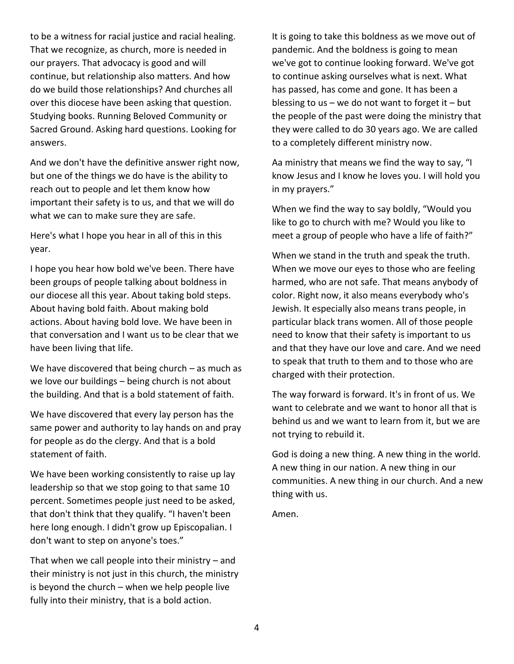to be a witness for racial justice and racial healing. That we recognize, as church, more is needed in our prayers. That advocacy is good and will continue, but relationship also matters. And how do we build those relationships? And churches all over this diocese have been asking that question. Studying books. Running Beloved Community or Sacred Ground. Asking hard questions. Looking for answers.

And we don't have the definitive answer right now, but one of the things we do have is the ability to reach out to people and let them know how important their safety is to us, and that we will do what we can to make sure they are safe.

Here's what I hope you hear in all of this in this year.

I hope you hear how bold we've been. There have been groups of people talking about boldness in our diocese all this year. About taking bold steps. About having bold faith. About making bold actions. About having bold love. We have been in that conversation and I want us to be clear that we have been living that life.

We have discovered that being church – as much as we love our buildings – being church is not about the building. And that is a bold statement of faith.

We have discovered that every lay person has the same power and authority to lay hands on and pray for people as do the clergy. And that is a bold statement of faith.

We have been working consistently to raise up lay leadership so that we stop going to that same 10 percent. Sometimes people just need to be asked, that don't think that they qualify. "I haven't been here long enough. I didn't grow up Episcopalian. I don't want to step on anyone's toes."

That when we call people into their ministry – and their ministry is not just in this church, the ministry is beyond the church – when we help people live fully into their ministry, that is a bold action.

It is going to take this boldness as we move out of pandemic. And the boldness is going to mean we've got to continue looking forward. We've got to continue asking ourselves what is next. What has passed, has come and gone. It has been a blessing to us – we do not want to forget it – but the people of the past were doing the ministry that they were called to do 30 years ago. We are called to a completely different ministry now.

Aa ministry that means we find the way to say, "I know Jesus and I know he loves you. I will hold you in my prayers."

When we find the way to say boldly, "Would you like to go to church with me? Would you like to meet a group of people who have a life of faith?"

When we stand in the truth and speak the truth. When we move our eyes to those who are feeling harmed, who are not safe. That means anybody of color. Right now, it also means everybody who's Jewish. It especially also means trans people, in particular black trans women. All of those people need to know that their safety is important to us and that they have our love and care. And we need to speak that truth to them and to those who are charged with their protection.

The way forward is forward. It's in front of us. We want to celebrate and we want to honor all that is behind us and we want to learn from it, but we are not trying to rebuild it.

God is doing a new thing. A new thing in the world. A new thing in our nation. A new thing in our communities. A new thing in our church. And a new thing with us.

Amen.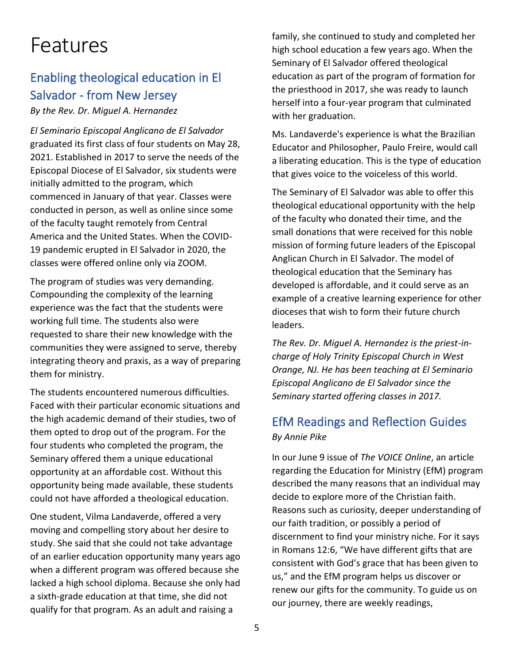# Features

# Enabling theological education in El Salvador - from New Jersey

*By the Rev. Dr. Miguel A. Hernandez*

*El Seminario Episcopal Anglicano de El Salvador* graduated its first class of four students on May 28, 2021. Established in 2017 to serve the needs of the Episcopal Diocese of El Salvador, six students were initially admitted to the program, which commenced in January of that year. Classes were conducted in person, as well as online since some of the faculty taught remotely from Central America and the United States. When the COVID-19 pandemic erupted in El Salvador in 2020, the classes were offered online only via ZOOM.

The program of studies was very demanding. Compounding the complexity of the learning experience was the fact that the students were working full time. The students also were requested to share their new knowledge with the communities they were assigned to serve, thereby integrating theory and praxis, as a way of preparing them for ministry.

The students encountered numerous difficulties. Faced with their particular economic situations and the high academic demand of their studies, two of them opted to drop out of the program. For the four students who completed the program, the Seminary offered them a unique educational opportunity at an affordable cost. Without this opportunity being made available, these students could not have afforded a theological education.

One student, Vilma Landaverde, offered a very moving and compelling story about her desire to study. She said that she could not take advantage of an earlier education opportunity many years ago when a different program was offered because she lacked a high school diploma. Because she only had a sixth-grade education at that time, she did not qualify for that program. As an adult and raising a

family, she continued to study and completed her high school education a few years ago. When the Seminary of El Salvador offered theological education as part of the program of formation for the priesthood in 2017, she was ready to launch herself into a four-year program that culminated with her graduation.

Ms. Landaverde's experience is what the Brazilian Educator and Philosopher, Paulo Freire, would call a liberating education. This is the type of education that gives voice to the voiceless of this world.

The Seminary of El Salvador was able to offer this theological educational opportunity with the help of the faculty who donated their time, and the small donations that were received for this noble mission of forming future leaders of the Episcopal Anglican Church in El Salvador. The model of theological education that the Seminary has developed is affordable, and it could serve as an example of a creative learning experience for other dioceses that wish to form their future church leaders.

*The Rev. Dr. Miguel A. Hernandez is the priest-incharge of Holy Trinity Episcopal Church in West Orange, NJ. He has been teaching at El Seminario Episcopal Anglicano de El Salvador since the Seminary started offering classes in 2017.*

# EfM Readings and Reflection Guides *By Annie Pike*

In our June 9 issue of *The VOICE Online*, an article regarding the Education for Ministry (EfM) program described the many reasons that an individual may decide to explore more of the Christian faith. Reasons such as curiosity, deeper understanding of our faith tradition, or possibly a period of discernment to find your ministry niche. For it says in Romans 12:6, "We have different gifts that are consistent with God's grace that has been given to us," and the EfM program helps us discover or renew our gifts for the community. To guide us on our journey, there are weekly readings,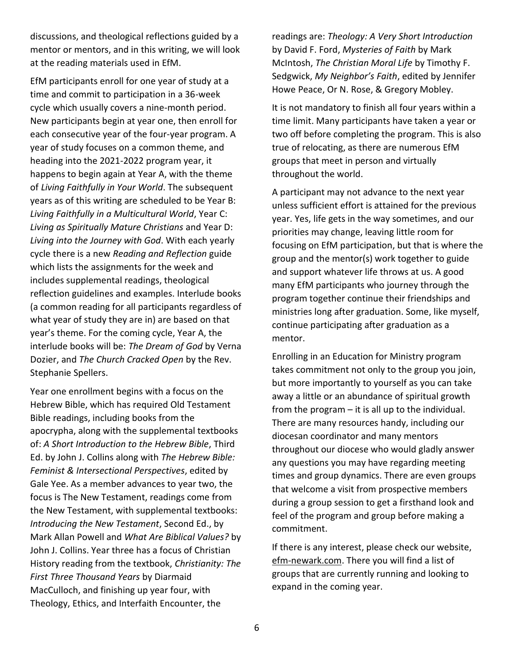discussions, and theological reflections guided by a mentor or mentors, and in this writing, we will look at the reading materials used in EfM.

EfM participants enroll for one year of study at a time and commit to participation in a 36-week cycle which usually covers a nine-month period. New participants begin at year one, then enroll for each consecutive year of the four-year program. A year of study focuses on a common theme, and heading into the 2021-2022 program year, it happens to begin again at Year A, with the theme of *Living Faithfully in Your World*. The subsequent years as of this writing are scheduled to be Year B: *Living Faithfully in a Multicultural World*, Year C: *Living as Spiritually Mature Christians* and Year D: *Living into the Journey with God*. With each yearly cycle there is a new *Reading and Reflection* guide which lists the assignments for the week and includes supplemental readings, theological reflection guidelines and examples. Interlude books (a common reading for all participants regardless of what year of study they are in) are based on that year's theme. For the coming cycle, Year A, the interlude books will be: *The Dream of God* by Verna Dozier, and *The Church Cracked Open* by the Rev. Stephanie Spellers.

Year one enrollment begins with a focus on the Hebrew Bible, which has required Old Testament Bible readings, including books from the apocrypha, along with the supplemental textbooks of: *A Short Introduction to the Hebrew Bible*, Third Ed. by John J. Collins along with *The Hebrew Bible: Feminist & Intersectional Perspectives*, edited by Gale Yee. As a member advances to year two, the focus is The New Testament, readings come from the New Testament, with supplemental textbooks: *Introducing the New Testament*, Second Ed., by Mark Allan Powell and *What Are Biblical Values?* by John J. Collins. Year three has a focus of Christian History reading from the textbook, *Christianity: The First Three Thousand Years* by Diarmaid MacCulloch, and finishing up year four, with Theology, Ethics, and Interfaith Encounter, the

readings are: *Theology: A Very Short Introduction* by David F. Ford, *Mysteries of Faith* by Mark McIntosh, *The Christian Moral Life* by Timothy F. Sedgwick, *My Neighbor's Faith*, edited by Jennifer Howe Peace, Or N. Rose, & Gregory Mobley.

It is not mandatory to finish all four years within a time limit. Many participants have taken a year or two off before completing the program. This is also true of relocating, as there are numerous EfM groups that meet in person and virtually throughout the world.

A participant may not advance to the next year unless sufficient effort is attained for the previous year. Yes, life gets in the way sometimes, and our priorities may change, leaving little room for focusing on EfM participation, but that is where the group and the mentor(s) work together to guide and support whatever life throws at us. A good many EfM participants who journey through the program together continue their friendships and ministries long after graduation. Some, like myself, continue participating after graduation as a mentor.

Enrolling in an Education for Ministry program takes commitment not only to the group you join, but more importantly to yourself as you can take away a little or an abundance of spiritual growth from the program – it is all up to the individual. There are many resources handy, including our diocesan coordinator and many mentors throughout our diocese who would gladly answer any questions you may have regarding meeting times and group dynamics. There are even groups that welcome a visit from prospective members during a group session to get a firsthand look and feel of the program and group before making a commitment.

If there is any interest, please check our website, efm-newark.com. There you will find a list of groups that are currently running and looking to expand in the coming year.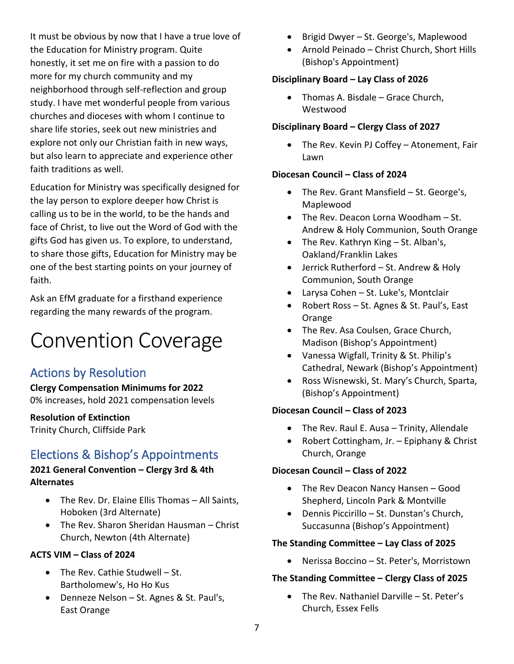It must be obvious by now that I have a true love of the Education for Ministry program. Quite honestly, it set me on fire with a passion to do more for my church community and my neighborhood through self-reflection and group study. I have met wonderful people from various churches and dioceses with whom I continue to share life stories, seek out new ministries and explore not only our Christian faith in new ways, but also learn to appreciate and experience other faith traditions as well.

Education for Ministry was specifically designed for the lay person to explore deeper how Christ is calling us to be in the world, to be the hands and face of Christ, to live out the Word of God with the gifts God has given us. To explore, to understand, to share those gifts, Education for Ministry may be one of the best starting points on your journey of faith.

Ask an EfM graduate for a firsthand experience regarding the many rewards of the program.

# Convention Coverage

# Actions by Resolution

**Clergy Compensation Minimums for 2022** 0% increases, hold 2021 compensation levels

#### **Resolution of Extinction** Trinity Church, Cliffside Park

# Elections & Bishop's Appointments

#### **2021 General Convention – Clergy 3rd & 4th Alternates**

- The Rev. Dr. Elaine Ellis Thomas All Saints, Hoboken (3rd Alternate)
- The Rev. Sharon Sheridan Hausman Christ Church, Newton (4th Alternate)

#### **ACTS VIM – Class of 2024**

- The Rev. Cathie Studwell St. Bartholomew's, Ho Ho Kus
- Denneze Nelson St. Agnes & St. Paul's, East Orange
- Brigid Dwyer St. George's, Maplewood
- Arnold Peinado Christ Church, Short Hills (Bishop's Appointment)

## **Disciplinary Board – Lay Class of 2026**

• Thomas A. Bisdale – Grace Church, Westwood

# **Disciplinary Board – Clergy Class of 2027**

• The Rev. Kevin PJ Coffey – Atonement, Fair Lawn

# **Diocesan Council – Class of 2024**

- The Rev. Grant Mansfield St. George's, Maplewood
- The Rev. Deacon Lorna Woodham St. Andrew & Holy Communion, South Orange
- The Rev. Kathryn King St. Alban's, Oakland/Franklin Lakes
- Jerrick Rutherford St. Andrew & Holy Communion, South Orange
- Larysa Cohen St. Luke's, Montclair
- Robert Ross St. Agnes & St. Paul's, East Orange
- The Rev. Asa Coulsen, Grace Church, Madison (Bishop's Appointment)
- Vanessa Wigfall, Trinity & St. Philip's Cathedral, Newark (Bishop's Appointment)
- Ross Wisnewski, St. Mary's Church, Sparta, (Bishop's Appointment)

# **Diocesan Council – Class of 2023**

- The Rev. Raul E. Ausa Trinity, Allendale
- Robert Cottingham, Jr. Epiphany & Christ Church, Orange

# **Diocesan Council – Class of 2022**

- The Rev Deacon Nancy Hansen Good Shepherd, Lincoln Park & Montville
- Dennis Piccirillo St. Dunstan's Church, Succasunna (Bishop's Appointment)

## **The Standing Committee – Lay Class of 2025**

• Nerissa Boccino – St. Peter's, Morristown

# **The Standing Committee – Clergy Class of 2025**

• The Rev. Nathaniel Darville – St. Peter's Church, Essex Fells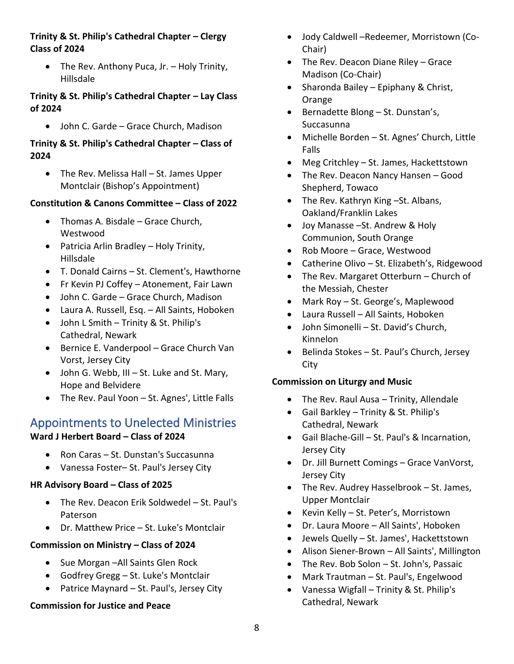#### **Trinity & St. Philip's Cathedral Chapter – Clergy Class of 2024**

• The Rev. Anthony Puca, Jr. – Holy Trinity, Hillsdale

### **Trinity & St. Philip's Cathedral Chapter – Lay Class of 2024**

• John C. Garde – Grace Church, Madison

#### **Trinity & St. Philip's Cathedral Chapter – Class of 2024**

• The Rev. Melissa Hall – St. James Upper Montclair (Bishop's Appointment)

# **Constitution & Canons Committee – Class of 2022**

- Thomas A. Bisdale Grace Church, Westwood
- Patricia Arlin Bradley Holy Trinity, Hillsdale
- T. Donald Cairns St. Clement's, Hawthorne
- Fr Kevin PJ Coffey Atonement, Fair Lawn
- John C. Garde Grace Church, Madison
- Laura A. Russell, Esq. All Saints, Hoboken
- John L Smith Trinity & St. Philip's Cathedral, Newark
- Bernice E. Vanderpool Grace Church Van Vorst, Jersey City
- John G. Webb, III St. Luke and St. Mary, Hope and Belvidere
- The Rev. Paul Yoon St. Agnes', Little Falls

# Appointments to Unelected Ministries

## **Ward J Herbert Board – Class of 2024**

- Ron Caras St. Dunstan's Succasunna
- Vanessa Foster– St. Paul's Jersey City

## **HR Advisory Board – Class of 2025**

- The Rev. Deacon Erik Soldwedel St. Paul's Paterson
- Dr. Matthew Price St. Luke's Montclair

# **Commission on Ministry – Class of 2024**

- Sue Morgan –All Saints Glen Rock
- Godfrey Gregg St. Luke's Montclair
- Patrice Maynard St. Paul's, Jersey City

# **Commission for Justice and Peace**

- Jody Caldwell –Redeemer, Morristown (Co-Chair)
- The Rev. Deacon Diane Riley Grace Madison (Co-Chair)
- Sharonda Bailey Epiphany & Christ, Orange
- Bernadette Blong St. Dunstan's, Succasunna
- Michelle Borden St. Agnes' Church, Little Falls
- Meg Critchley St. James, Hackettstown
- The Rev. Deacon Nancy Hansen Good Shepherd, Towaco
- The Rev. Kathryn King –St. Albans, Oakland/Franklin Lakes
- Joy Manasse –St. Andrew & Holy Communion, South Orange
- Rob Moore Grace, Westwood
- Catherine Olivo St. Elizabeth's, Ridgewood
- The Rev. Margaret Otterburn Church of the Messiah, Chester
- Mark Roy St. George's, Maplewood
- Laura Russell All Saints, Hoboken
- John Simonelli St. David's Church, Kinnelon
- Belinda Stokes St. Paul's Church, Jersey City

# **Commission on Liturgy and Music**

- The Rev. Raul Ausa Trinity, Allendale
- Gail Barkley Trinity & St. Philip's Cathedral, Newark
- Gail Blache-Gill St. Paul's & Incarnation, Jersey City
- Dr. Jill Burnett Comings Grace VanVorst, Jersey City
- The Rev. Audrey Hasselbrook St. James, Upper Montclair
- Kevin Kelly St. Peter's, Morristown
- Dr. Laura Moore All Saints', Hoboken
- Jewels Quelly St. James', Hackettstown
- Alison Siener-Brown All Saints', Millington
- The Rev. Bob Solon St. John's, Passaic
- Mark Trautman St. Paul's, Engelwood
- Vanessa Wigfall Trinity & St. Philip's Cathedral, Newark